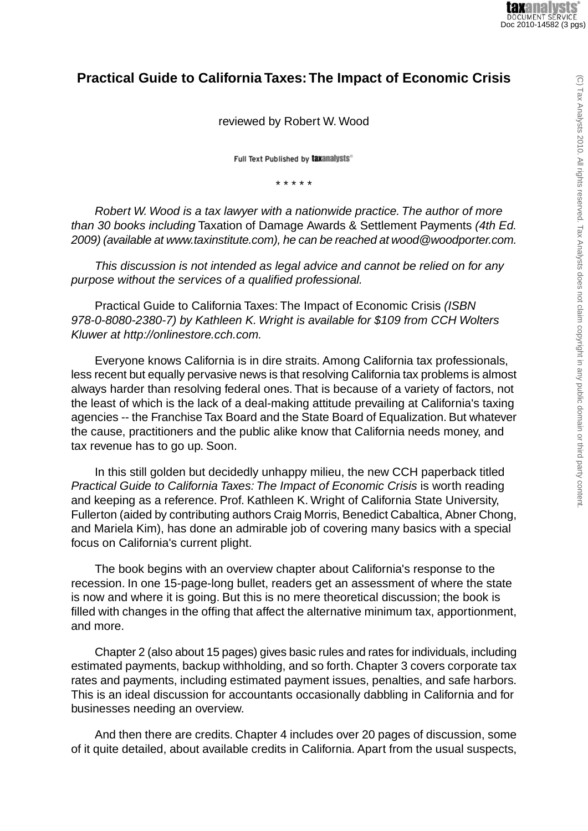## **Practical Guide to California Taxes:The Impact of Economic Crisis**

reviewed by Robert W. Wood

Full Text Published by taxanalysts®

\* \* \* \* \*

*Robert W. Wood is a tax lawyer with a nationwide practice. The author of more than 30 books including* Taxation of Damage Awards & Settlement Payments *(4th Ed. 2009) (available at www.taxinstitute.com), he can be reached at wood@woodporter.com.*

*This discussion is not intended as legal advice and cannot be relied on for any purpose without the services of a qualified professional.*

Practical Guide to California Taxes: The Impact of Economic Crisis *(ISBN 978-0-8080-2380-7) by Kathleen K. Wright is available for \$109 from CCH Wolters Kluwer at http://onlinestore.cch.com.*

Everyone knows California is in dire straits. Among California tax professionals, less recent but equally pervasive news is that resolving California tax problems is almost always harder than resolving federal ones. That is because of a variety of factors, not the least of which is the lack of a deal-making attitude prevailing at California's taxing agencies -- the Franchise Tax Board and the State Board of Equalization. But whatever the cause, practitioners and the public alike know that California needs money, and tax revenue has to go up. Soon.

In this still golden but decidedly unhappy milieu, the new CCH paperback titled *Practical Guide to California Taxes: The Impact of Economic Crisis* is worth reading and keeping as a reference. Prof. Kathleen K. Wright of California State University, Fullerton (aided by contributing authors Craig Morris, Benedict Cabaltica, Abner Chong, and Mariela Kim), has done an admirable job of covering many basics with a special focus on California's current plight.

The book begins with an overview chapter about California's response to the recession. In one 15-page-long bullet, readers get an assessment of where the state is now and where it is going. But this is no mere theoretical discussion; the book is filled with changes in the offing that affect the alternative minimum tax, apportionment, and more.

Chapter 2 (also about 15 pages) gives basic rules and rates for individuals, including estimated payments, backup withholding, and so forth. Chapter 3 covers corporate tax rates and payments, including estimated payment issues, penalties, and safe harbors. This is an ideal discussion for accountants occasionally dabbling in California and for businesses needing an overview.

And then there are credits. Chapter 4 includes over 20 pages of discussion, some of it quite detailed, about available credits in California. Apart from the usual suspects,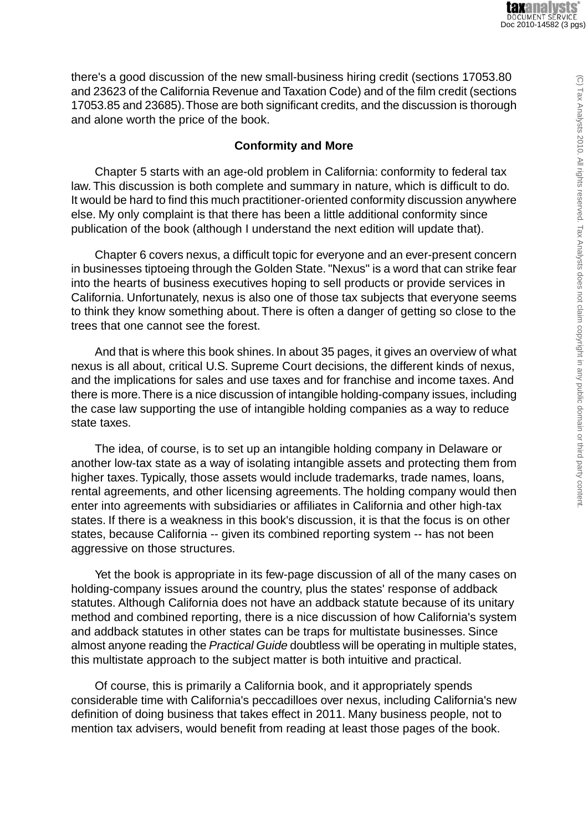there's a good discussion of the new small-business hiring credit (sections 17053.80 and 23623 of the California Revenue and Taxation Code) and of the film credit (sections 17053.85 and 23685).Those are both significant credits, and the discussion is thorough and alone worth the price of the book.

## **Conformity and More**

Chapter 5 starts with an age-old problem in California: conformity to federal tax law. This discussion is both complete and summary in nature, which is difficult to do. It would be hard to find this much practitioner-oriented conformity discussion anywhere else. My only complaint is that there has been a little additional conformity since publication of the book (although I understand the next edition will update that).

Chapter 6 covers nexus, a difficult topic for everyone and an ever-present concern in businesses tiptoeing through the Golden State. "Nexus" is a word that can strike fear into the hearts of business executives hoping to sell products or provide services in California. Unfortunately, nexus is also one of those tax subjects that everyone seems to think they know something about. There is often a danger of getting so close to the trees that one cannot see the forest.

And that is where this book shines. In about 35 pages, it gives an overview of what nexus is all about, critical U.S. Supreme Court decisions, the different kinds of nexus, and the implications for sales and use taxes and for franchise and income taxes. And there is more.There is a nice discussion of intangible holding-company issues, including the case law supporting the use of intangible holding companies as a way to reduce state taxes.

The idea, of course, is to set up an intangible holding company in Delaware or another low-tax state as a way of isolating intangible assets and protecting them from higher taxes. Typically, those assets would include trademarks, trade names, loans, rental agreements, and other licensing agreements. The holding company would then enter into agreements with subsidiaries or affiliates in California and other high-tax states. If there is a weakness in this book's discussion, it is that the focus is on other states, because California -- given its combined reporting system -- has not been aggressive on those structures.

Yet the book is appropriate in its few-page discussion of all of the many cases on holding-company issues around the country, plus the states' response of addback statutes. Although California does not have an addback statute because of its unitary method and combined reporting, there is a nice discussion of how California's system and addback statutes in other states can be traps for multistate businesses. Since almost anyone reading the *Practical Guide* doubtless will be operating in multiple states, this multistate approach to the subject matter is both intuitive and practical.

Of course, this is primarily a California book, and it appropriately spends considerable time with California's peccadilloes over nexus, including California's new definition of doing business that takes effect in 2011. Many business people, not to mention tax advisers, would benefit from reading at least those pages of the book.

 $\odot$